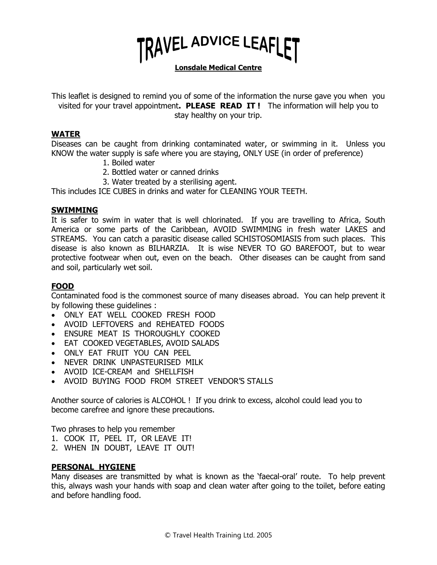

**Lonsdale Medical Centre**

This leaflet is designed to remind you of some of the information the nurse gave you when you visited for your travel appointment**. PLEASE READ IT !** The information will help you to stay healthy on your trip.

#### **WATER**

Diseases can be caught from drinking contaminated water, or swimming in it. Unless you KNOW the water supply is safe where you are staying, ONLY USE (in order of preference)

- 1. Boiled water
- 2. Bottled water or canned drinks
- 3. Water treated by a sterilising agent.

This includes ICE CUBES in drinks and water for CLEANING YOUR TEETH.

#### **SWIMMING**

It is safer to swim in water that is well chlorinated. If you are travelling to Africa, South America or some parts of the Caribbean, AVOID SWIMMING in fresh water LAKES and STREAMS. You can catch a parasitic disease called SCHISTOSOMIASIS from such places. This disease is also known as BILHARZIA. It is wise NEVER TO GO BAREFOOT, but to wear protective footwear when out, even on the beach. Other diseases can be caught from sand and soil, particularly wet soil.

#### **FOOD**

Contaminated food is the commonest source of many diseases abroad. You can help prevent it by following these guidelines :

- ONLY EAT WELL COOKED FRESH FOOD
- AVOID LEFTOVERS and REHEATED FOODS
- ENSURE MEAT IS THOROUGHLY COOKED
- EAT COOKED VEGETABLES, AVOID SALADS
- ONLY EAT FRUIT YOU CAN PEEL
- NEVER DRINK UNPASTEURISED MILK
- AVOID ICE-CREAM and SHELLFISH
- AVOID BUYING FOOD FROM STREET VENDOR'S STALLS

Another source of calories is ALCOHOL ! If you drink to excess, alcohol could lead you to become carefree and ignore these precautions.

Two phrases to help you remember

- 1. COOK IT, PEEL IT, OR LEAVE IT!
- 2. WHEN IN DOUBT, LEAVE IT OUT!

#### **PERSONAL HYGIENE**

Many diseases are transmitted by what is known as the 'faecal-oral' route. To help prevent this, always wash your hands with soap and clean water after going to the toilet, before eating and before handling food.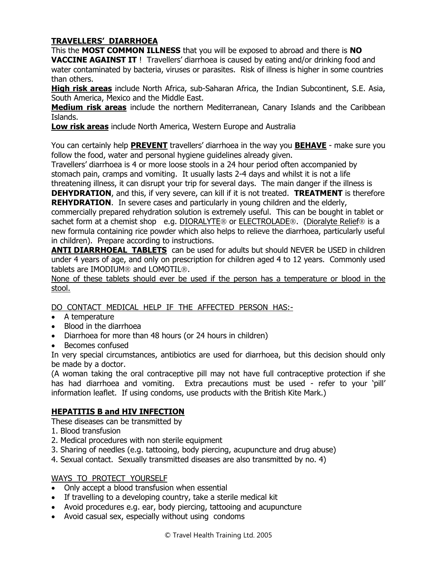## **TRAVELLERS' DIARRHOEA**

This the **MOST COMMON ILLNESS** that you will be exposed to abroad and there is **NO VACCINE AGAINST IT** ! Travellers' diarrhoea is caused by eating and/or drinking food and water contaminated by bacteria, viruses or parasites. Risk of illness is higher in some countries than others.

**High risk areas** include North Africa, sub-Saharan Africa, the Indian Subcontinent, S.E. Asia, South America, Mexico and the Middle East.

**Medium risk areas** include the northern Mediterranean, Canary Islands and the Caribbean Islands.

**Low risk areas** include North America, Western Europe and Australia

You can certainly help **PREVENT** travellers' diarrhoea in the way you **BEHAVE** - make sure you follow the food, water and personal hygiene guidelines already given.

Travellers' diarrhoea is 4 or more loose stools in a 24 hour period often accompanied by stomach pain, cramps and vomiting. It usually lasts 2-4 days and whilst it is not a life

threatening illness, it can disrupt your trip for several days. The main danger if the illness is **DEHYDRATION**, and this, if very severe, can kill if it is not treated. **TREATMENT** is therefore **REHYDRATION.** In severe cases and particularly in young children and the elderly,

commercially prepared rehydration solution is extremely useful. This can be bought in tablet or sachet form at a chemist shop e.g. DIORALYTE<sup>®</sup> or ELECTROLADE<sup>®</sup>. (Dioralyte Relief<sup>®</sup> is a new formula containing rice powder which also helps to relieve the diarrhoea, particularly useful in children). Prepare according to instructions.

**ANTI DIARRHOEAL TABLETS** can be used for adults but should NEVER be USED in children under 4 years of age, and only on prescription for children aged 4 to 12 years. Commonly used tablets are IMODIUM® and LOMOTIL®.

None of these tablets should ever be used if the person has a temperature or blood in the stool.

DO CONTACT MEDICAL HELP IF THE AFFECTED PERSON HAS:-

- A temperature
- Blood in the diarrhoea
- Diarrhoea for more than 48 hours (or 24 hours in children)
- Becomes confused

In very special circumstances, antibiotics are used for diarrhoea, but this decision should only be made by a doctor.

(A woman taking the oral contraceptive pill may not have full contraceptive protection if she has had diarrhoea and vomiting. Extra precautions must be used - refer to your 'pill' information leaflet. If using condoms, use products with the British Kite Mark.)

### **HEPATITIS B and HIV INFECTION**

- These diseases can be transmitted by
- 1. Blood transfusion
- 2. Medical procedures with non sterile equipment
- 3. Sharing of needles (e.g. tattooing, body piercing, acupuncture and drug abuse)
- 4. Sexual contact. Sexually transmitted diseases are also transmitted by no. 4)

#### WAYS TO PROTECT YOURSELF

- Only accept a blood transfusion when essential
- If travelling to a developing country, take a sterile medical kit
- Avoid procedures e.g. ear, body piercing, tattooing and acupuncture
- Avoid casual sex, especially without using condoms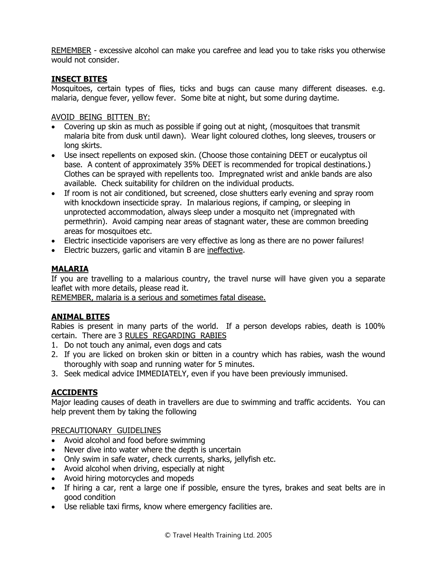REMEMBER - excessive alcohol can make you carefree and lead you to take risks you otherwise would not consider.

## **INSECT BITES**

Mosquitoes, certain types of flies, ticks and bugs can cause many different diseases. e.g. malaria, dengue fever, yellow fever. Some bite at night, but some during daytime.

#### AVOID BEING BITTEN BY:

- Covering up skin as much as possible if going out at night, (mosquitoes that transmit malaria bite from dusk until dawn). Wear light coloured clothes, long sleeves, trousers or long skirts.
- Use insect repellents on exposed skin. (Choose those containing DEET or eucalyptus oil base. A content of approximately 35% DEET is recommended for tropical destinations.) Clothes can be sprayed with repellents too. Impregnated wrist and ankle bands are also available. Check suitability for children on the individual products.
- If room is not air conditioned, but screened, close shutters early evening and spray room with knockdown insecticide spray. In malarious regions, if camping, or sleeping in unprotected accommodation, always sleep under a mosquito net (impregnated with permethrin). Avoid camping near areas of stagnant water, these are common breeding areas for mosquitoes etc.
- Electric insecticide vaporisers are very effective as long as there are no power failures!
- Electric buzzers, garlic and vitamin B are ineffective.

### **MALARIA**

If you are travelling to a malarious country, the travel nurse will have given you a separate leaflet with more details, please read it.

REMEMBER, malaria is a serious and sometimes fatal disease.

### **ANIMAL BITES**

Rabies is present in many parts of the world. If a person develops rabies, death is 100% certain. There are 3 RULES REGARDING RABIES

- 1. Do not touch any animal, even dogs and cats
- 2. If you are licked on broken skin or bitten in a country which has rabies, wash the wound thoroughly with soap and running water for 5 minutes.
- 3. Seek medical advice IMMEDIATELY, even if you have been previously immunised.

# **ACCIDENTS**

Major leading causes of death in travellers are due to swimming and traffic accidents. You can help prevent them by taking the following

#### PRECAUTIONARY GUIDELINES

- Avoid alcohol and food before swimming
- Never dive into water where the depth is uncertain
- Only swim in safe water, check currents, sharks, jellyfish etc.
- Avoid alcohol when driving, especially at night
- Avoid hiring motorcycles and mopeds
- If hiring a car, rent a large one if possible, ensure the tyres, brakes and seat belts are in good condition
- Use reliable taxi firms, know where emergency facilities are.